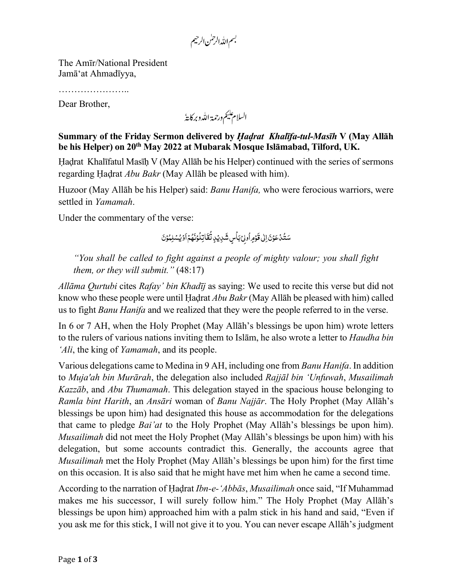بسم الله الرحمٰن الرحيم

The Amīr/National President Jamā'at Ahmadīyya,

………………

Dear Brother,

السلام عليم ورحمة الله وبركاية

**Summary of the Friday Sermon delivered by** *Ḥaḍrat Khalīfa-tul-Masīh* **V (May Allāh be his Helper) on 20th May 2022 at Mubarak Mosque Islāmabad, Tilford, UK.**

Ḥaḍrat Khalīfatul Masīḥ V (May Allāh be his Helper) continued with the series of sermons regarding Ḥaḍrat *Abu Bakr* (May Allāh be pleased with him).

Huzoor (May Allāh be his Helper) said: *Banu Hanifa,* who were ferocious warriors, were settled in *Yamamah*.

Under the commentary of the verse:

َ سَتُدُعَوْنَ اِلٰى قَوْمِ أُولِىْ بَأْسٍ شَدِيْدٍ نُقَاتِلُوْنَهُمْ اَوْيُسْلِمُوْنَ ُ ֺ֧֦֧֦֧֦֧֦֧֦֧ ׇׅ َ ُ َ ׇׅ ُ ؚ<br>ۣ ׇׅ َ ؚ<br>ٔ َ ُ ׇׅ َ  $\overline{\phantom{a}}$ َ َ {}<sub>1</sub>

*"You shall be called to fight against a people of mighty valour; you shall fight them, or they will submit."* (48:17)

*Allāma Qurtubi* cites *Rafay' bin Khadīj* as saying: We used to recite this verse but did not know who these people were until Ḥaḍrat *Abu Bakr*(May Allāh be pleased with him) called us to fight *Banu Hanifa* and we realized that they were the people referred to in the verse.

In 6 or 7 AH, when the Holy Prophet (May Allāh's blessings be upon him) wrote letters to the rulers of various nations inviting them to Islām, he also wrote a letter to *Haudha bin 'Ali*, the king of *Yamamah*, and its people.

Various delegations came to Medina in 9 AH, including one from *Banu Hanifa*. In addition to *Muja'ah bin Murārah*, the delegation also included *Rajjāl bin 'Unfuwah*, *Musailimah Kazzāb*, and *Abu Thumamah*. This delegation stayed in the spacious house belonging to *Ramla bint Harith*, an *Ansāri* woman of *Banu Najjār*. The Holy Prophet (May Allāh's blessings be upon him) had designated this house as accommodation for the delegations that came to pledge *Bai'at* to the Holy Prophet (May Allāh's blessings be upon him). *Musailimah* did not meet the Holy Prophet (May Allāh's blessings be upon him) with his delegation, but some accounts contradict this. Generally, the accounts agree that *Musailimah* met the Holy Prophet (May Allāh's blessings be upon him) for the first time on this occasion. It is also said that he might have met him when he came a second time.

According to the narration of Ḥaḍrat *Ibn-e-'Abbās*, *Musailimah* once said, "If Muhammad makes me his successor, I will surely follow him." The Holy Prophet (May Allāh's blessings be upon him) approached him with a palm stick in his hand and said, "Even if you ask me for this stick, I will not give it to you. You can never escape Allāh's judgment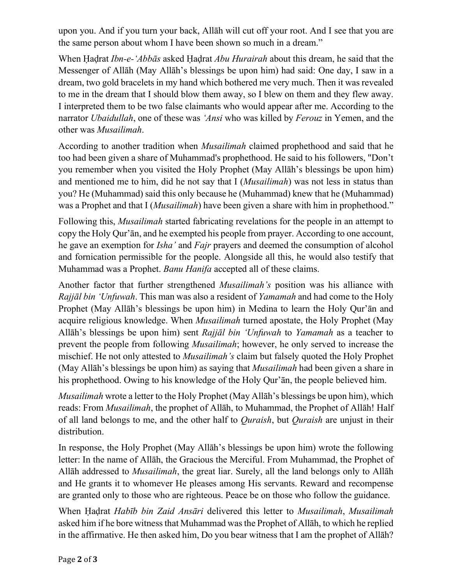upon you. And if you turn your back, Allāh will cut off your root. And I see that you are the same person about whom I have been shown so much in a dream."

When Ḥaḍrat *Ibn-e-'Abbās* asked Ḥaḍrat *Abu Hurairah* about this dream, he said that the Messenger of Allāh (May Allāh's blessings be upon him) had said: One day, I saw in a dream, two gold bracelets in my hand which bothered me very much. Then it was revealed to me in the dream that I should blow them away, so I blew on them and they flew away. I interpreted them to be two false claimants who would appear after me. According to the narrator *Ubaidullah*, one of these was *'Ansi* who was killed by *Ferouz* in Yemen, and the other was *Musailimah*.

According to another tradition when *Musailimah* claimed prophethood and said that he too had been given a share of Muhammad's prophethood. He said to his followers, "Don't you remember when you visited the Holy Prophet (May Allāh's blessings be upon him) and mentioned me to him, did he not say that I (*Musailimah*) was not less in status than you? He (Muhammad) said this only because he (Muhammad) knew that he (Muhammad) was a Prophet and that I (*Musailimah*) have been given a share with him in prophethood."

Following this, *Musailimah* started fabricating revelations for the people in an attempt to copy the Holy Qur'ān, and he exempted his people from prayer. According to one account, he gave an exemption for *Isha'* and *Fajr* prayers and deemed the consumption of alcohol and fornication permissible for the people. Alongside all this, he would also testify that Muhammad was a Prophet. *Banu Hanifa* accepted all of these claims.

Another factor that further strengthened *Musailimah's* position was his alliance with *Rajjāl bin 'Unfuwah*. This man was also a resident of *Yamamah* and had come to the Holy Prophet (May Allāh's blessings be upon him) in Medina to learn the Holy Qur'ān and acquire religious knowledge. When *Musailimah* turned apostate, the Holy Prophet (May Allāh's blessings be upon him) sent *Rajjāl bin 'Unfuwah* to *Yamamah* as a teacher to prevent the people from following *Musailimah*; however, he only served to increase the mischief. He not only attested to *Musailimah's* claim but falsely quoted the Holy Prophet (May Allāh's blessings be upon him) as saying that *Musailimah* had been given a share in his prophethood. Owing to his knowledge of the Holy Qur'ān, the people believed him.

*Musailimah* wrote a letter to the Holy Prophet (May Allāh's blessings be upon him), which reads: From *Musailimah*, the prophet of Allāh, to Muhammad, the Prophet of Allāh! Half of all land belongs to me, and the other half to *Quraish*, but *Quraish* are unjust in their distribution.

In response, the Holy Prophet (May Allāh's blessings be upon him) wrote the following letter: In the name of Allāh, the Gracious the Merciful. From Muhammad, the Prophet of Allāh addressed to *Musailimah*, the great liar. Surely, all the land belongs only to Allāh and He grants it to whomever He pleases among His servants. Reward and recompense are granted only to those who are righteous. Peace be on those who follow the guidance.

When Ḥaḍrat *Habīb bin Zaid Ansāri* delivered this letter to *Musailimah*, *Musailimah* asked him if he bore witness that Muhammad was the Prophet of Allāh, to which he replied in the affirmative. He then asked him, Do you bear witness that I am the prophet of Allāh?